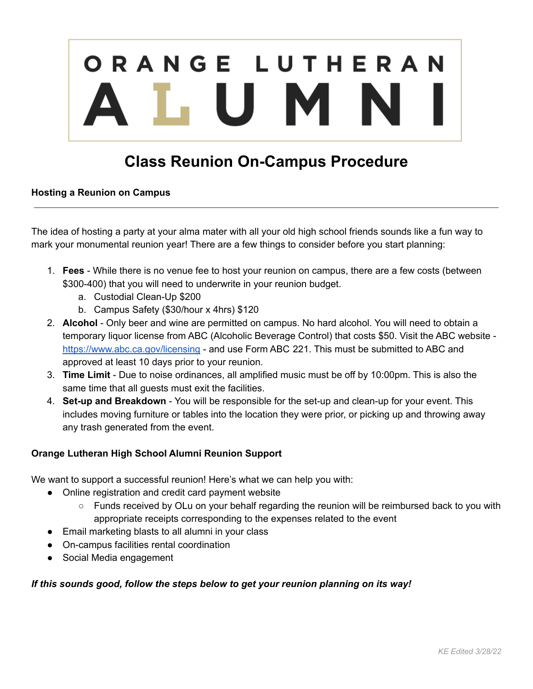# ORANGE LUTHERAN LUMN

# **Class Reunion On-Campus Procedure**

## **Hosting a Reunion on Campus**

The idea of hosting a party at your alma mater with all your old high school friends sounds like a fun way to mark your monumental reunion year! There are a few things to consider before you start planning:

- 1. **Fees** While there is no venue fee to host your reunion on campus, there are a few costs (between \$300-400) that you will need to underwrite in your reunion budget.
	- a. Custodial Clean-Up \$200
	- b. Campus Safety (\$30/hour x 4hrs) \$120
- 2. **Alcohol** Only beer and wine are permitted on campus. No hard alcohol. You will need to obtain a temporary liquor license from ABC (Alcoholic Beverage Control) that costs \$50. Visit the ABC website <https://www.abc.ca.gov/licensing> - and use Form ABC 221. This must be submitted to ABC and approved at least 10 days prior to your reunion.
- 3. **Time Limit** Due to noise ordinances, all amplified music must be off by 10:00pm. This is also the same time that all guests must exit the facilities.
- 4. **Set-up and Breakdown** You will be responsible for the set-up and clean-up for your event. This includes moving furniture or tables into the location they were prior, or picking up and throwing away any trash generated from the event.

# **Orange Lutheran High School Alumni Reunion Support**

We want to support a successful reunion! Here's what we can help you with:

- Online registration and credit card payment website
	- Funds received by OLu on your behalf regarding the reunion will be reimbursed back to you with appropriate receipts corresponding to the expenses related to the event
- Email marketing blasts to all alumni in your class
- On-campus facilities rental coordination
- Social Media engagement

#### *If this sounds good, follow the steps below to get your reunion planning on its way!*